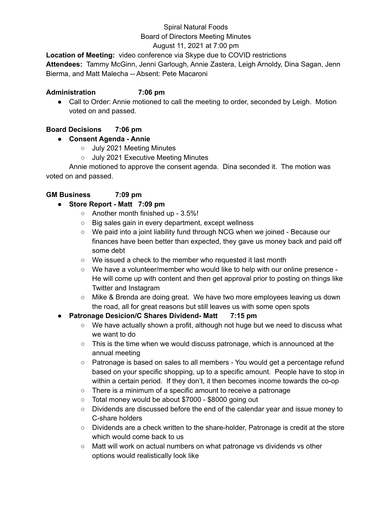### Spiral Natural Foods Board of Directors Meeting Minutes

# August 11, 2021 at 7:00 pm

**Location of Meeting:** video conference via Skype due to COVID restrictions **Attendees:** Tammy McGinn, Jenni Garlough, Annie Zastera, Leigh Arnoldy, Dina Sagan, Jenn Bierma, and Matt Malecha -- Absent: Pete Macaroni

### **Administration 7:06 pm**

• Call to Order: Annie motioned to call the meeting to order, seconded by Leigh. Motion voted on and passed.

# **Board Decisions 7:06 pm**

# **● Consent Agenda - Annie**

- July 2021 Meeting Minutes
- July 2021 Executive Meeting Minutes

Annie motioned to approve the consent agenda. Dina seconded it. The motion was voted on and passed.

# **GM Business 7:09 pm**

# **● Store Report - Matt 7:09 pm**

- Another month finished up 3.5%!
- Big sales gain in every department, except wellness
- We paid into a joint liability fund through NCG when we joined Because our finances have been better than expected, they gave us money back and paid off some debt
- We issued a check to the member who requested it last month
- We have a volunteer/member who would like to help with our online presence He will come up with content and then get approval prior to posting on things like Twitter and Instagram
- Mike & Brenda are doing great. We have two more employees leaving us down the road, all for great reasons but still leaves us with some open spots

# **● Patronage Desicion/C Shares Dividend- Matt 7:15 pm**

- We have actually shown a profit, although not huge but we need to discuss what we want to do
- $\circ$  This is the time when we would discuss patronage, which is announced at the annual meeting
- Patronage is based on sales to all members You would get a percentage refund based on your specific shopping, up to a specific amount. People have to stop in within a certain period. If they don't, it then becomes income towards the co-op
- There is a minimum of a specific amount to receive a patronage
- Total money would be about \$7000 \$8000 going out
- Dividends are discussed before the end of the calendar year and issue money to C-share holders
- Dividends are a check written to the share-holder, Patronage is credit at the store which would come back to us
- Matt will work on actual numbers on what patronage vs dividends vs other options would realistically look like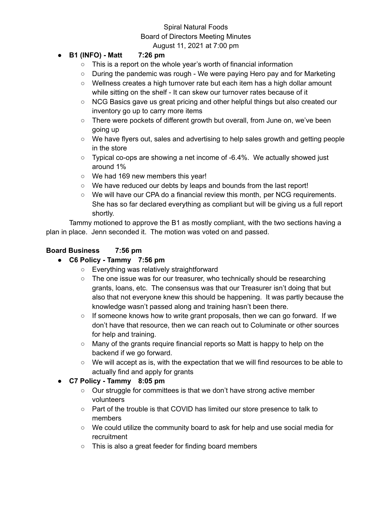# Spiral Natural Foods Board of Directors Meeting Minutes August 11, 2021 at 7:00 pm

# **● B1 (INFO) - Matt 7:26 pm**

- This is a report on the whole year's worth of financial information
- During the pandemic was rough We were paying Hero pay and for Marketing
- Wellness creates a high turnover rate but each item has a high dollar amount while sitting on the shelf - It can skew our turnover rates because of it
- NCG Basics gave us great pricing and other helpful things but also created our inventory go up to carry more items
- There were pockets of different growth but overall, from June on, we've been going up
- We have flyers out, sales and advertising to help sales growth and getting people in the store
- $\circ$  Typical co-ops are showing a net income of -6.4%. We actually showed just around 1%
- We had 169 new members this year!
- We have reduced our debts by leaps and bounds from the last report!
- We will have our CPA do a financial review this month, per NCG requirements. She has so far declared everything as compliant but will be giving us a full report shortly.

Tammy motioned to approve the B1 as mostly compliant, with the two sections having a plan in place. Jenn seconded it. The motion was voted on and passed.

### **Board Business 7:56 pm**

- **● C6 Policy - Tammy 7:56 pm**
	- Everything was relatively straightforward
	- The one issue was for our treasurer, who technically should be researching grants, loans, etc. The consensus was that our Treasurer isn't doing that but also that not everyone knew this should be happening. It was partly because the knowledge wasn't passed along and training hasn't been there.
	- $\circ$  If someone knows how to write grant proposals, then we can go forward. If we don't have that resource, then we can reach out to Columinate or other sources for help and training.
	- Many of the grants require financial reports so Matt is happy to help on the backend if we go forward.
	- We will accept as is, with the expectation that we will find resources to be able to actually find and apply for grants
- **● C7 Policy - Tammy 8:05 pm**
	- Our struggle for committees is that we don't have strong active member volunteers
	- Part of the trouble is that COVID has limited our store presence to talk to members
	- We could utilize the community board to ask for help and use social media for recruitment
	- This is also a great feeder for finding board members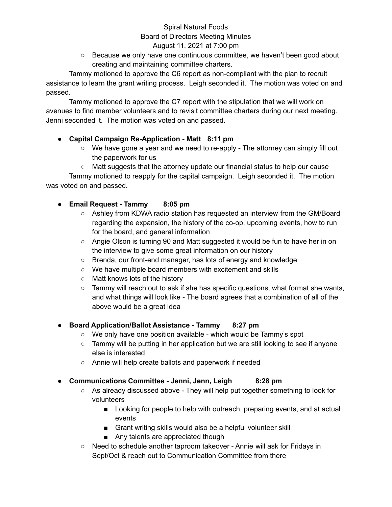# Spiral Natural Foods Board of Directors Meeting Minutes

# August 11, 2021 at 7:00 pm

 $\circ$  Because we only have one continuous committee, we haven't been good about creating and maintaining committee charters.

Tammy motioned to approve the C6 report as non-compliant with the plan to recruit assistance to learn the grant writing process. Leigh seconded it. The motion was voted on and passed.

Tammy motioned to approve the C7 report with the stipulation that we will work on avenues to find member volunteers and to revisit committee charters during our next meeting. Jenni seconded it. The motion was voted on and passed.

### **● Capital Campaign Re-Application - Matt 8:11 pm**

- We have gone a year and we need to re-apply The attorney can simply fill out the paperwork for us
- Matt suggests that the attorney update our financial status to help our cause

Tammy motioned to reapply for the capital campaign. Leigh seconded it. The motion was voted on and passed.

# **● Email Request - Tammy 8:05 pm**

- Ashley from KDWA radio station has requested an interview from the GM/Board regarding the expansion, the history of the co-op, upcoming events, how to run for the board, and general information
- Angie Olson is turning 90 and Matt suggested it would be fun to have her in on the interview to give some great information on our history
- Brenda, our front-end manager, has lots of energy and knowledge
- We have multiple board members with excitement and skills
- Matt knows lots of the history
- $\circ$  Tammy will reach out to ask if she has specific questions, what format she wants, and what things will look like - The board agrees that a combination of all of the above would be a great idea

### **● Board Application/Ballot Assistance - Tammy 8:27 pm**

- We only have one position available which would be Tammy's spot
- $\circ$  Tammy will be putting in her application but we are still looking to see if anyone else is interested
- Annie will help create ballots and paperwork if needed

### **● Communications Committee - Jenni, Jenn, Leigh 8:28 pm**

- As already discussed above They will help put together something to look for volunteers
	- Looking for people to help with outreach, preparing events, and at actual events
	- Grant writing skills would also be a helpful volunteer skill
	- Any talents are appreciated though
- Need to schedule another taproom takeover Annie will ask for Fridays in Sept/Oct & reach out to Communication Committee from there